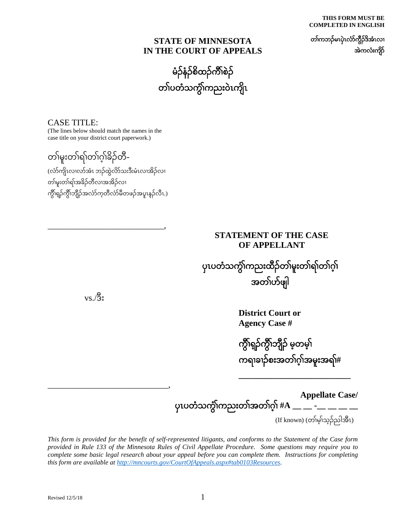**THIS FORM MUST BE COMPLETED IN ENGLISH**

တၢ်ကဘၣ်မၤပှဲၤလံာ်ကွီၣ်ဒိအံၤလၢ အဲကလံးကျိာ်

#### **STATE OF MINNESOTA IN THE COURT OF APPEALS**

မံၣ်နံၣ်စိထၣ်ကီၢ်စဲၣ် တၢ်ပတံသကွံၢ်ကညး၀ဲၤကျိၤ

CASE TITLE: (The lines below should match the names in the case title on your district court paperwork.)

တၢ်မူးတၢ်ရၢ်တၢ်ဂ့ၢ်ခိၣ်တီ-

(လံာ်ကျိၤလၢလာ်အံၤ ဘၣ်ထွဲလိာ်သးဒီးမံၤလၢအိၣ်လၢ တၢ်မူးတၢ်ရၢ်အခိၣ်တီလၢအအိၣ်လၢ ကွီၢ်ရ့ၣ်ကွီၢ်ဘျီၣ်အလံာ်က့တီလံာ်မီတဖၣ်အပူၤန့ၣ်လီၤ.)

\_\_\_\_\_\_\_\_\_\_\_\_\_\_\_\_\_\_\_\_\_\_\_\_\_\_\_,

### **STATEMENT OF THE CASE OF APPELLANT**

ပှၤပတံသကွံၢ်ကညးထီၣ်တၢ်မူးတၢ်ရၢ်တၢ်ဂ့ၢ် အတၢ်ပာ်ဖျါ

 $\rm vs.$ /ဒိုး

\_\_\_\_\_\_\_\_\_\_\_\_\_\_\_\_\_\_\_\_\_\_\_\_\_\_\_\_,

**District Court or Agency Case #**

ကွီၢ်ရ့ၣ်ကွီၢ်ဘျီၣ်မ့တမ့ၢ် ကရၢခၢၣ်စးအတၢ်ဂ့ၢ်အမူးအရၢ်**#**

**\_\_\_\_\_\_\_\_\_\_\_\_\_\_\_\_\_\_\_\_\_\_\_\_\_\_**

**Appellate Case/** ပှၤပတံသကွံၢ်ကညးတၢ်အတၢ်ဂ့ၢ်**#A \_\_ \_\_ -\_\_ \_\_ \_\_ \_\_**

(If known) (တၢ်မ့ၢ်သ့ၣ်ညါအီၤ)

*This form is provided for the benefit of self-represented litigants, and conforms to the Statement of the Case form provided in Rule 133 of the Minnesota Rules of Civil Appellate Procedure. Some questions may require you to complete some basic legal research about your appeal before you can complete them. Instructions for completing this form are available at [http://mncourts.gov/CourtOfAppeals.aspx#tab0103Resources.](http://mncourts.gov/CourtOfAppeals.aspx%23tab0103Resources)*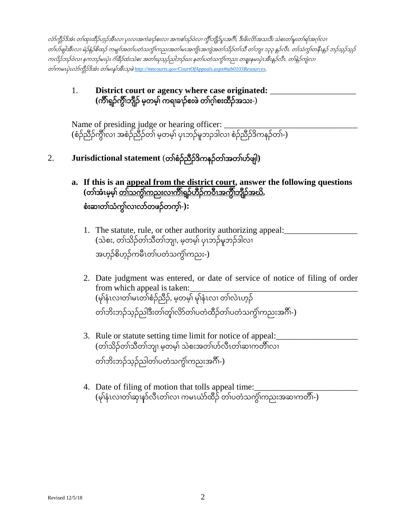လံာ်ကွီၣ်ဒိအံၤ တၢ်ထုးထီၣ်ဟ့ၣ်အီၤလၢ ပှၤလၢအကဲခၢၣ်စးလၢ အကစၢ်ဒၣ်၀ဲလၢ ကွီၢ်ဘျီၣ်ပူၤအဂီၢ်*,* ဒီးဖိးလိာ်အသးဒီး သဲစးတၢ်မူးတၢ်ရၢ်အဂ့ၢ်လၢ တၢ်ပာ်ဖျါအီၤလၢ မံၣ်နံၣ်စိထၣ်ကမျၢၢ်အတၢ်ပတံသကွံၢ်ကညးအတၢ်မၤအကျိၤအကျဲအတၢ်သိၣ်တၢ်သီတၢ်ဘျၢ <sup>၁၃၃</sup> န့ၣ်လီၤ*.* တၢ်သံကွၢ်တနီၤန့ၣ်ဘၣ်သ့ၣ်သ့ၣ် ကလိၣ်ဘၣ်၀ဲလၢ နကဘၣ်မၤပှဲၤ ဂံၢ်ခီၣ်ထံးသဲစး အတၢ်ဃုသ့ၣ်ညါဘၣ်ဃး နတၢ်ပတံသကွံၢ်ကညး တချုးနမၤပှဲၤအီၤန့ၣ်လီၤ*.* တၢ်နဲၣ်ကျဲလၢ တၢ်ကမၤပှဲၤလံာ်ကွီၣ်ဒိအံၤ တၢ်မၤန့ၢ်အီၤသ့ဖဲ*[http://mncourts.gov/CourtOfAppeals.aspx#tab0103Resources.](http://mncourts.gov/CourtOfAppeals.aspx%23tab0103Resources)*

## 1. **District court or agency where case originated:** \_\_\_\_\_\_\_\_\_\_\_\_\_\_\_\_\_\_\_\_ **(**ကီၢ်ရ့ၣ်ကွီၢ်ဘျီၣ်မ့တမ့ၢ်ကရၢခၢၣ်စးဖဲတၢ်ဂ့ၢ်စးထီၣ်အသး-)

Name of presiding judge or hearing officer: \_ (စံၣ်ညီၣ်ကွီၢ်လၢ အစံၣ်ညီၣ်တၢ်မ့တမ့ၢ်ပှၤဘၣ်မူဘၣဒါလၢ စံၣ်ညီၣ်ဒိကနၣ်တၢ်-)

# 2. **Jurisdictional statement** (တၢ်စံၣ်ညီၣ်ဒိကနၣ်တၢ်အတၢ်ပာ်ဖျါ**)**

- **a. If this is an appeal from the district court, answer the following questions** (တၢ်အံၤမ့မ့<del>်၊</del> <u>တ၊်သကွိၢ်ကညးလၢကိၢရှဉ်ဟိဉ်ကဝီၤအကွိ၊ဘျိဉ်အဃိ</u>, စံးဆၢတၢ်သံကွၢ်လၢလာ်တဖၣ်တက့ၢ်**-):**
	- 1. The statute, rule, or other authority authorizing appeal: (သဲစး, တၢ်သိၣ်တၢ်သီတၢ်ဘျၢ, မ့တမ့ၢ်ပှၤဘၣ်မူဘၣ်ဒါလၢ အဟ့ၣ်စိဟ့ၣ်ကမီၤတၢ်ပတံသကွံၢ်ကညး-)
	- 2. Date judgment was entered, or date of service of notice of filing of order from which appeal is taken: (မုၢ်နံၤလၢတၢ်မၤတၢ်စံၣ်ညီၣ်, မ့တမ့ၢ်မုၢ်နံၤလၢ တၢ်လဲၤဟ့ၣ် တၢ်ဘိးဘၣ်သ့ၣ်ညါဒီးတၢ်တူၢ်လိာ်တၢ်ပတံထီၣ်တၢ်ပတံသကွံၢ်ကညးအဂီၢ်-)
	- 3. Rule or statute setting time limit for notice of appeal: (တၢ်သိၣ်တၢ်သီတၢ်ဘျၢ မ့တမ့ၢ်သဲစးအတၢ်ပာ်လီၤတၢ်ဆၢကတီၢ်လၢ တၢ်ဘိးဘၣ်သ့ၣ်ညါတၢ်ပတံသကွံၢ်ကညးအဂီၢ်-)
	- 4. Date of filing of motion that tolls appeal time: – … > …… > …… လယ်ပါ ပါပါ ပါပါ ရာပုဆေး ပါ။ေ.<br>(မု၊်နံၤလၢတၢ်ဆု၊နာ်လီၤတၢ်လ၊ ကမၤယာ်ထီဉ် တၢ်ပတံသက္ဂိ၊ကညးအဆ၊ကတိ၊-)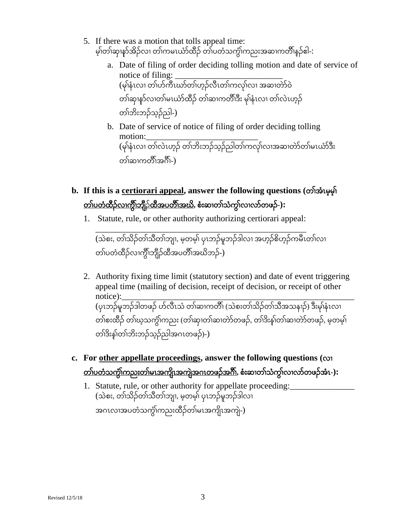- 5. If there was a motion that tolls appeal time: မ့၊်တၢ်ဆု၊နာ်အိဉ်လ၊ တ၊်ကမၤယာ်ထီဉ် တ၊်ပတံသက္ခိ၊ကညးအဆ၊ကတိိၢနှဉ်ဧါ-:
	- a. Date of filing of order deciding tolling motion and date of service of notice of filing: (မုၢ်နံၤလၢ တၢ်ပာ်ကီၤဃာ်တၢ်ဟ့ၣ်လီၤတၢ်ကလုၢ်လၢ အဆၢတဲာ်၀ဲ တၢ်ဆု၊နာ်လၢတၢ်မၤယာ်ထိဉ် တၢ်ဆၢကတိ၊်ဒီး မု၊်နံၤလ၊ တ၊်လဲၤဟ့ဉ် တၢ်ဘိးဘၣ်သ့ၣ်ညါ-)
	- b. Date of service of notice of filing of order deciding tolling motion:\_\_\_\_\_\_\_\_\_\_\_\_\_\_\_\_\_\_\_\_\_\_\_\_\_\_ (မုၢ်နံၤလၢ တၢ်လဲၤဟ့ၣ်တၢ်ဘိးဘၣ်သ့ၣ်ညါတၢ်ကလုၢ်လၢအဆၢတဲာ်တၢ်မၤယံာ်ဒီး တၢ်ဆၢကတိၢအဂိၢ-)
- **b. If this is a certiorari appeal, answer the following questions (**တၢ်အံၤမ့မ့ၢ် တၢ်ပတံထီၣ်လၢကွီၢ်ဘျီၣ်ထီအပတီၢ်အဃိ**,** စံးဆၢတၢ်သံကွၢ်လၢလာ်တဖၣ်**-):**
	- 1. Statute, rule, or other authority authorizing certiorari appeal:

\_\_\_\_\_\_\_\_\_\_\_\_\_\_\_\_\_\_\_\_\_\_\_\_\_\_\_\_\_\_\_\_\_\_\_\_\_\_\_\_\_\_\_\_\_\_\_\_\_ (သဲစး, တၢ်သိၣ်တၢ်သီတၢ်ဘျၢ, မ့တမ့ၢ်ပှၤဘၣ်မူဘၣ်ဒါလၢ အဟ့ၣ်စိဟ့ၣ်ကမီၤတၢ်လၢ တၢ်ပတံထီဉ်လၢက္ခိၢ်ဘျီဉ်ထီအပတိၱ၊အဃိဘဉ်-)

- 2. Authority fixing time limit (statutory section) and date of event triggering appeal time (mailing of decision, receipt of decision, or receipt of other notice):\_\_\_\_\_\_\_\_\_\_\_\_\_\_\_\_\_\_\_\_\_\_\_\_\_\_\_\_\_\_\_\_\_\_\_\_\_\_\_\_\_\_\_\_\_\_\_\_\_\_\_\_\_\_ (ပုၤဘဉ်မူဘဉ်ဒါတဖဉ် ဟ်လီၤသံ တၢ်ဆၢကတိၢ် (သဲစးတၢ်သိဉ်တၢ်သီအသနၢဉ်) ဒီးမု၊်နံၤလ၊ တၢ်စးထိဉ် တၢ်ဃ့သကွဲ၊်ကညး (တၢ်ဆု၊တၢ်ဆ၊တဲာ်တဖဉ်, တၢ်ဒိးနှ၊်တၢ်ဆ၊တဲာ်တဖဉ်, မ့တမ့၊် တၢ်ဒိးန့ၢ်တၢ်ဘိးဘၣ်သ့ၣ်ညါအဂၤတဖၣ်)-)
- **c. For other appellate proceedings, answer the following questions (**လၢ တၢ်ပတံသကွံၢ်ကညးတၢ်မၤအကျိၤအကျဲအဂၤတဖၣ်အဂီၢ်**,** စံးဆၢတၢ်သံကွၢ်လၢလာ်တဖၣ်အံၤ**-):**
	- 1. Statute, rule, or other authority for appellate proceeding: (သဲစး, တၢ်သိဉ်တၢ်သီတၢ်ဘျ၊, မ့တမ့၊် ပုၤဘဉ်မူဘဉ်ဒါလ၊ အဂၤလၢအပတံသကွံၢ်ကညးထီၣ်တၢ်မၤအကျိၤအကျဲ-)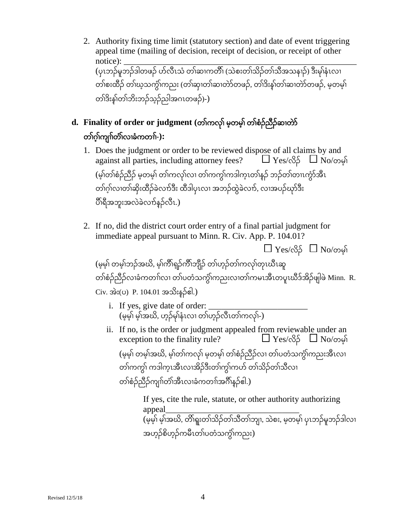- 2. Authority fixing time limit (statutory section) and date of event triggering appeal time (mailing of decision, receipt of decision, or receipt of other notice): \_\_\_\_\_\_\_\_\_\_\_\_\_\_\_\_\_\_\_\_\_\_\_\_\_\_\_\_\_\_\_\_\_\_\_\_\_\_\_\_\_\_\_\_\_\_\_\_\_\_\_\_\_\_ (ပုၤဘဉ်မူဘဉ်ဒါတဖဉ် ဟ်လီၤသံ တၢ်ဆၢကတိၢ် (သဲစးတၢ်သိဉ်တၢ်သီအသနၢဉ်) ဒီးမု၊်နံၤလ၊ တၢ်စးထိဉ် တၢ်ဃ့သကွဲ၊ကညး (တၢ်ဆု၊တၢ်ဆ၊တဲာ်တဖဉ်, တၢ်ဒိးနှ၊်တၢ်ဆ၊တဲာ်တဖဉ်, မ့တမ့၊် တၢ်ဒိးန့ၢ်တၢ်ဘိးဘၣ်သ့ၣ်ညါအဂၤတဖၣ်)-)
- **d. Finality of order or judgment (**တၢ်ကလုၢ်မ့တမ့ၢ်တၢ်စံၣ်ညီၣ်ဆၢတဲာ် တၢ်ဂ့ၢ်ကျၢၢ်တံၢ်လၢခံကတၢၢ်**-):**
	- 1. Does the judgment or order to be reviewed dispose of all claims by and against all parties, including attorney fees?  $\Box$  Yes/လိ $\beta$   $\Box$  No/တမ့်၊ (မ့ၢ်တၢ်စံၣ်ညီၣ်မ့တမ့ၢ်တၢ်ကလုၢ်လၢ တၢ်ကကွၢ်ကဒါက့ၤတၢ်န့ၣ်ဘၣ်တၢ်တၢၤကွံာ်အီၤ တၢ်ဂ့ၢ်လၢတၢ်ဆှိးထီၣ်ခဲလၢာ်ဒီး ထီဒါပှၤလၢ အဘၣ်ထွဲခဲလၢာ်, လၢအပၣ်ဃုာ်ဒီး ပီၢ်ရီအဘူးအလဲခဲလၢာ်န့ၣ်လီၤ.)
	- 2. If no, did the district court order entry of a final partial judgment for immediate appeal pursuant to Minn. R. Civ. App. P. 104.01?

 $\Box$  Yes/လိ $5$   $\Box$  No/တမ္ဂါ (မ့မ့ၢ်တမ့ၢ်ဘၣ်အဃိ, မ့ၢ်ကီၢ်ရ့ၣ်ကီၢ်ဘျီၣ်တၢ်ဟ့ၣ်တၢ်ကလုၢ်တုၤဃီၤဆူ တၢ်စံဉ်ညီဉ်လၢခံကတၢ်လၢ တၢ်ပတံသက္ဂိ၊ကညးလၢတၢ်ကမၤအီၤတပူၤဃီဒ်အိဉ်ဖျါဖဲ Minn. <code>R.</code> Civ. အဲး(ပ) P. 104.01 အသိးန့ၣ်ဧါ.)

- i. If yes, give date of order: \_\_\_\_\_\_\_\_\_\_\_\_\_\_\_\_\_\_\_\_\_\_\_ (မွမ့်၊ မ့်၊အဃိ, ဟွဉ်မှ၊်နံၤလ၊ တ၊်ဟွဉ်လီၤတၢ်ကလု၊်-)
- ii. If no, is the order or judgment appealed from reviewable under an exception to the finality rule?  $\Box$  Yes/ $\Im$  $\Box$  Yes/ $\Box$  No/ $\Box$ exception to the finality rule?

(မ့မ့ၢ်တမ့ၢ်အဃိ, မ့ၢ်တၢ်ကလုၢ်မ့တမ့ၢ်တၢ်စံၣ်ညီၣ်လၢ တၢ်ပတံသကွံၢ်ကညးအီၤလၢ တၢ်ကကွ၊် ကဒါက္ၤအီၤလၢအိဉ်ဒီးတၢ်ကွ၊်ကဟ် တၢ်သိဉ်တၢ်သီလၢ တၢ်စံၣ်ညီၣ်ကျၢၢ်တံၢ်အီၤလၢခံကတၢၢ်အဂီၢ်န့ၣ်ဧါ.)

> If yes, cite the rule, statute, or other authority authorizing appeal\_\_\_\_\_\_\_\_\_\_\_\_\_\_\_\_\_\_\_\_\_\_\_\_\_\_\_\_\_\_\_ (မ့မ့ၢ်မ့ၢ်အဃိ, တိၢ်ရူးတၢ်သိၣ်တၢ်သီတၢ်ဘျၢ, သဲစး, မ့တမ့ၢ်ပှၤဘၣ်မူဘၣ်ဒါလၢ အဟ့ၣ်စိဟ့ၣ်ကမီၤတၢ်ပတံသကွံၢ်ကညး)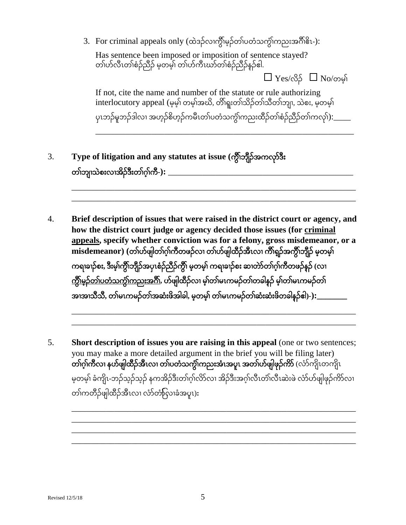3. For criminal appeals only (ထဲဒဉ်လၢက္ခ်ိၢမ္နှာ်တၢ်ပတံသက္ခ်၊်ကညးအဂ်ိၢိနိၤ-):

Has sentence been imposed or imposition of sentence stayed? တၢ်ပာ်လီၤတၢ်စံၣ်ညီၣ်မ့တမ့ၢ်တၢ်ပာ်ကီၤဃာ်တၢ်စံၣ်ညီၣ်န့ၣ်ဧါ.

 $\Box$  Yes/လိ $\beta$   $\Box$  No/တမ့်၊

If not, cite the name and number of the statute or rule authorizing interlocutory appeal (မ့မ့ၢ်တမ့ၢ်အဃိ, တိၢ်ရူးတၢ်သိၣ်တၢ်သီတၢ်ဘျၢ, သဲစး, မ့တမ့ၢ် ပုၤဘဉ်မူဘဉ်ဒါလ၊ အဟ့ဉ်စိဟ့ဉ်ကမီၤတၢ်ပတံသက္ဂ်ၢ်ကညးထီဉ်တၢ်စံဉ်ညီဉ်တၢ်ကလု၊်):\_\_\_\_\_

\_\_\_\_\_\_\_\_\_\_\_\_\_\_\_\_\_\_\_\_\_\_\_\_\_\_\_\_\_\_\_\_\_\_\_\_\_\_\_\_\_\_\_\_\_\_\_\_\_\_\_\_\_\_\_\_\_\_\_\_

\_\_\_\_\_\_\_\_\_\_\_\_\_\_\_\_\_\_\_\_\_\_\_\_\_\_\_\_\_\_\_\_\_\_\_\_\_\_\_\_\_\_\_\_\_\_\_\_\_\_\_\_\_\_\_\_\_\_\_\_\_\_\_\_\_\_ \_\_\_\_\_\_\_\_\_\_\_\_\_\_\_\_\_\_\_\_\_\_\_\_\_\_\_\_\_\_\_\_\_\_\_\_\_\_\_\_\_\_\_\_\_\_\_\_\_\_\_\_\_\_\_\_\_\_\_\_\_\_\_\_\_\_

- 3. **Type of litigation and any statutes at issue (**ကွီၢ်ဘျီၣ်အကလုာ်ဒီး တၢ်ဘျၢသဲစးလၢအိၣ်ဒီးတၢ်ဂ့ၢ်ကီ**-):** \_\_\_\_\_\_\_\_\_\_\_\_\_\_\_\_\_\_\_\_\_\_\_\_\_\_\_\_\_\_\_\_\_\_\_\_\_\_\_\_\_\_\_
- 4. **Brief description of issues that were raised in the district court or agency, and how the district court judge or agency decided those issues (for criminal appeals, specify whether conviction was for a felony, gross misdemeanor, or a misdemeanor) (**တၢ်ပာ်ဖျါတၢ်ဂ့ၢ်ကီတဖၣ်လၢ တၢ်ပာ်ဖျါထီၣ်အီၤလၢ ကီၢ်ရ့ၣ်အကွီၢ်ဘျီၣ်မ့တမ့ၢ် ကရၢခၢၣ်စး**,** ဒီးမ့ၢ်ကွီၢ်ဘျီၣ်အပှၤစံၣ်ညီၣ်ကွီၢ်မ့တမ့ၢ်ကရၢခၢၣ်စး ဆၢတဲာ်တၢ်ဂ့ၢ်ကီတဖၣ်န့ၣ်**(**လၢ <u>ကွိၢ်မှဉ်တ၊်ပတံသကွိၢ်ကညးအဂိ</u>ါ်, ဟ်ဖျါထီဉ်လ၊ မ့၊်တၢ်မၤကမဉ်တ၊်တခါနှဉ် မ့၊်တ၊်မၤကမဉ်တ၊် အၢအၢသီသီ**,** တၢ်မၤကမၣ်တၢ်အဆံးဖိအါခါ**,** မ့တမ့ၢ်တၢ်မၤကမၣ်တၢ်ဆံးဆံးဖိတခါန့ၣ်ဧါ**)-):\_\_\_\_\_\_\_**

\_\_\_\_\_\_\_\_\_\_\_\_\_\_\_\_\_\_\_\_\_\_\_\_\_\_\_\_\_\_\_\_\_\_\_\_\_\_\_\_\_\_\_\_\_\_\_\_\_\_\_\_\_\_\_\_\_\_\_\_\_\_\_\_\_\_ \_\_\_\_\_\_\_\_\_\_\_\_\_\_\_\_\_\_\_\_\_\_\_\_\_\_\_\_\_\_\_\_\_\_\_\_\_\_\_\_\_\_\_\_\_\_\_\_\_\_\_\_\_\_\_\_\_\_\_\_\_\_\_\_\_\_

5. **Short description of issues you are raising in this appeal** (one or two sentences; you may make a more detailed argument in the brief you will be filing later) တၢ်ဂ့ၢ်ကီလၢ နပာ်ဖျါထီၣ်အီၤလၢ တၢ်ပတံသကွံၢ်ကညးအံၤအပူၤ အတၢ်ပာ်ဖျါဖုၣ်ကိာ်(လံာ်ကျိၤတကျိၤ မ့တမ့ၢ်ခံကျိၤ-ဘၣ်သ့ၣ်သ့ၣ်နကအိၣ်ဒီးတၢ်ဂ့ၢ်လိာ်လၢ အိၣ်ဒီးအဂ့ၢ်လီၤတံၢ်လီၤဆဲးဖဲလံာ်ပာ်ဖျါဖုၣ်ကိာ်လၢ တၢ်ကတီၣ်ဖျါထီၣ်အီၤလၢ လံာ်တြံာ်လၢခံအပူၤ)**:**

\_\_\_\_\_\_\_\_\_\_\_\_\_\_\_\_\_\_\_\_\_\_\_\_\_\_\_\_\_\_\_\_\_\_\_\_\_\_\_\_\_\_\_\_\_\_\_\_\_\_\_\_\_\_\_\_\_\_\_\_\_\_\_\_\_\_ \_\_\_\_\_\_\_\_\_\_\_\_\_\_\_\_\_\_\_\_\_\_\_\_\_\_\_\_\_\_\_\_\_\_\_\_\_\_\_\_\_\_\_\_\_\_\_\_\_\_\_\_\_\_\_\_\_\_\_\_\_\_\_\_\_\_ \_\_\_\_\_\_\_\_\_\_\_\_\_\_\_\_\_\_\_\_\_\_\_\_\_\_\_\_\_\_\_\_\_\_\_\_\_\_\_\_\_\_\_\_\_\_\_\_\_\_\_\_\_\_\_\_\_\_\_\_\_\_\_\_\_\_ \_\_\_\_\_\_\_\_\_\_\_\_\_\_\_\_\_\_\_\_\_\_\_\_\_\_\_\_\_\_\_\_\_\_\_\_\_\_\_\_\_\_\_\_\_\_\_\_\_\_\_\_\_\_\_\_\_\_\_\_\_\_\_\_\_\_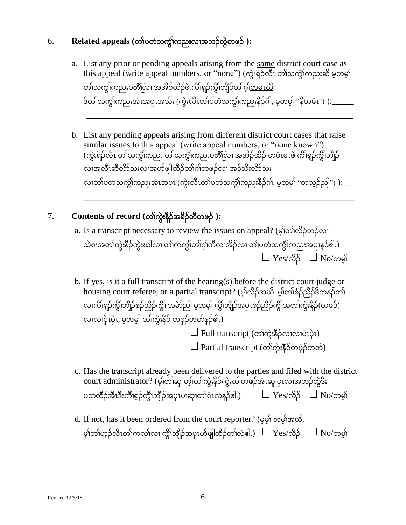# 6. **Related appeals (**တၢ်ပတံသကွံၢ်ကညးလၢအဘၣ်ထွဲတဖၣ်**-):**

a. List any prior or pending appeals arising from the same district court case as this appeal (write appeal numbers, or "none") (ကွဲးရဲၣ်လီၤ တၢ်သကွံၢ်ကညးဆိမ့တမ့ၢ် တၢ်သက္ဂိၢကညးပတိံလြာ၊ အအိဉ်ထိဉ်ဖဲ ကိၢ်ရှဉ်ကွိၢ်ဘျီဉ်တၢ်ဂ့<u>၊်တမံၤဃ</u>ီ ဒ်တၢ်သကွံၢ်ကညးအံၤအပူၤအသိး (ကွဲးလီၤတၢ်ပတံသကွံၢ်ကညးနီၣ်ဂံၢ်, မ့တမ့ၢ်"နီတမံၤ")-):\_\_\_\_\_

\_\_\_\_\_\_\_\_\_\_\_\_\_\_\_\_\_\_\_\_\_\_\_\_\_\_\_\_\_\_\_\_\_\_\_\_\_\_\_\_\_\_\_\_\_\_\_\_\_\_\_\_\_\_\_\_\_\_\_\_\_\_

b. List any pending appeals arising from different district court cases that raise similar issues to this appeal (write appeal numbers, or "none known") (ကွဲးရဲဉ်လီၤ တၢ်သက္ဂံ၊ကညး တၢ်သက္ဂံ၊ကညးပတိံပြာ၊ အအိဉ်ထိဉ် တမံၤမံၤဖဲ ကိၢ်ရှဉ်ကွိၢ်ဘျီဉ် <u>လ၊အလီၤဆီလိာ်သ</u>းလ၊အဟ်ဖျါထိဉ်<u>တ၊်ဂွ၊်တဖဉ်လ၊ အဒ်သိးလိာ်သ</u>း လၢတၢ်ပတံသကွံၢ်ကညးအံၤအပူၤ (ကွဲးလီၤတၢ်ပတံသကွံၢ်ကညးနီၣ်ဂံၢ်, မ့တမ့ၢ်"တသ့ၣ်ညါ")-):\_\_

\_\_\_\_\_\_\_\_\_\_\_\_\_\_\_\_\_\_\_\_\_\_\_\_\_\_\_\_\_\_\_\_\_\_\_\_\_\_\_\_\_\_\_\_\_\_\_\_\_\_\_\_\_\_\_\_\_\_\_\_\_\_\_

# 7. **Contents of record (**တၢ်ကွဲးနီၣ်အခိၣ်တီတဖၣ်**-):**

- a. Is a transcript necessary to review the issues on appeal? (မ့ၢ်တၢ်လိၣ်ဘၣ်လၢ သဲစးအတၢ်ကွဲးနီဉ်ကွဲးဃါလ၊ တၢ်ကကွ၊်တၢ်ဂ့ၢ်ကီလ၊အိဉ်လ၊ တၢ်ပတံသကွိၢ်ကညးအပူၤနှဉ်ဧါ.)  $\Box$  Yes/လိ $5$   $\Box$  No/တမ်း
- b. If yes, is it a full transcript of the hearing(s) before the district court judge or housing court referee, or a partial transcript? (မ့ၢ်လိၣ်အဃိ, မ့ၢ်တၢ်စံၣ်ညီၣ်ဒိကနၣ်တၢ် လၢကိၢ်ရှဉ်ကွိၤဘျီဉ်စံဉ်ညီဉ်ကွိၤ် အမဲာ်ညါ မ့တမ့၊် ကွိၤဘျီဉ်အပုၤစံဉ်ညီဉ်ကွိၤ်အတၤ်ကွဲးနီဉ်(တဖဉ်) လၢလၢပှဲၤပှဲၤ, မ့တမ့ၢ်တၢ်ကွဲးနီၣ်တဖှံၣ်တ၀ာ်န့ၣ်ဧါ.)  $\square$  Full transcript (တာ်ကွဲးနိ $\beta$ လ၊လ၊ပှဲၤပှဲၤ)  $\square$  Partial transcript (တၢ်ကွဲးနီဉ်တဖုံဉ်တတ်)
- c. Has the transcript already been delivered to the parties and filed with the district court administrator? (မ့ၢ်တၢ်ဆှၢတ့ၢ်တၢ်ကွဲးနီၣ်ကွဲးဃါတဖၣ်အံၤဆူပှၤလၢအဘၣ်ထွဲဒီး ပတံထိဉ်အီၤဒီးကိၢိရှဉ်ကွိၢ်ဘိုဉ်အပုၤပၢဆု၊တၢ်ဝံၤလံနဉ်ဧါ.)  $\hskip10mm \square\,\,{\rm Y}$ es/လိ $\,\,\delta\,\,\,\,\,\,\,\Box\,\,{\rm No}$ /တမ့်၊
- d. If not, has it been ordered from the court reporter? (မ့မ့ၢ်တမ့ၢ်အဃိ, မ့ၢ်တၢ်ဟူဉ်လီၤတၢ်ကလု၊်လၢ ကွိၢ်ဘျီဉ်အပုၤဟ်ဖျါထီဉ်တၢ်လံဧါ.)  $\Box$   $\mathrm{Yes}/$ လိဉ်  $\Box$   $\mathrm{No}/$ တမ့်၊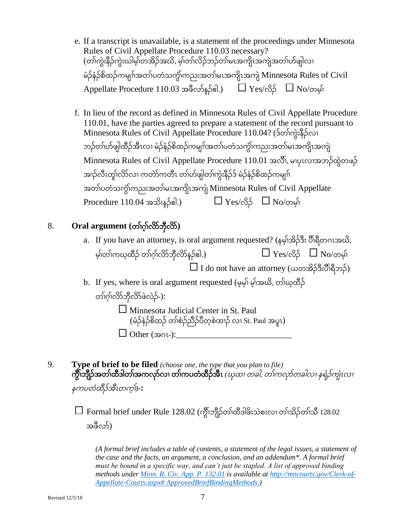- e. If a transcript is unavailable, is a statement of the proceedings under Minnesota Rules of Civil Appellate Procedure 110.03 necessary? (တၢ်ကွဲးနီၣ်ကွဲးဃါမ့ၢ်တအိၣ်အဃိ, မ့ၢ်တၢ်လိၣ်ဘၣ်တၢ်မၤအကျိၤအကျဲအတၢ်ပာ်ဖျါလၢ မံၣ်နံၣ်စိထၣ်ကမျၢၢ်အတၢ်ပတံသကွံၢ်ကညးအတၢ်မၤအကျိၤအကျဲMinnesota Rules of Civil Appellate Procedure 110.03 အဖီလာ်နဉ်၏.)  $\Box$  Yes/လိ $\beta$   $\Box$  No/တမ့်၊
- f. In lieu of the record as defined in Minnesota Rules of Civil Appellate Procedure 110.01, have the parties agreed to prepare a statement of the record pursuant to Minnesota Rules of Civil Appellate Procedure 110.04? (ဒ်တၢ်ကွဲးနီၣ်လၢ ဘဉ်တၢ်ဟ်ဖျါထီဉ်အီၤလၢ မံဉ်နံဉ်စိထဉ်ကမျπ်အတၢ်ပတံသက္ဂိ၊ကညးအတ်၊မၤအကျိၤအကျဲ Minnesota Rules of Civil Appellate Procedure 110.01 အလီၢ်, မၢပှၤလၢအဘၣ်ထွဲတဖၣ် အၢဉ်လီၤတု၊်လိာ်လၢ ကတဲာ်ကတီၤ တၢ်ဟ်ဖျါတၢ်ကွဲးနီဉ်ဒ် မံဉ်နံဉ်စိထဉ်ကမျ၊်ာ အတၢ်ပတံသကွံၢ်ကညးအတၢ်မၤအကျိၤအကျဲMinnesota Rules of Civil Appellate Procedure 110.04 အသိႏႈန္၌၏.)  $\Box$  Yes/လိ $\beta$   $\Box$  No/တမ္နါ

## 8. **Oral argument (**တၢ်ဂ့ၢ်လိာ်ဘှီလိာ်**)**

- a. If you have an attorney, is oral argument requested? (နမ့ၢ်အိၣ်ဒီး ပီၢ်ရီတဂၤအဃိ, မ့၊်တၢ်ကဃ့ထီဉ် တၢ်ဂ့၊်လိာ်ဘီလိာ်နဉ်ဧါ.)  $\Box$   $\mathrm{Yes}/\mathrm{CS}$ ်  $\Box$   $\mathrm{No}/\mathrm{obj}$  $\square$  I do not have an attorney (ယတအိဉ်ဒီးပိႆၢ်ရီဘဉ်)
- b. If yes, where is oral argument requested (မ့မ့ၢ်မ့ၢ်အဃိ, တၢ်ဃ့ထီၣ် တၢ်ဂ့ၢ်လိာ်ဘှီလိာ်ဖဲလဲၣ်-):

Minnesota Judicial Center in St. Paul (မံၣ်နံၣ်စိထၣ်တၢ်စံၣ်ညီၣ်ပီတ့စဲထၢၣ်လၢ St. Paul အပူၤ)  $\Box$  Other (အဂၤ-):

9. **Type of brief to be filed** *(choose one, the type that you plan to file)* ကွီၢ်ဘျီၣ်အတၢ်ထီဒါတၢ်အကလုာ်လၢ တၢ်ကပတံထီၣ်အီၤ *(*ဃုထၢ တခါ*,* တၢ်ကလုာ်တခါလၢ နရဲၣ်ကျဲၤလၢ နကပတံထီၣ်အီၤတက့ၢ်*)***-:**

 $\Box$  Formal brief under Rule 128.02 (ကွိၤဘိုုဉ်တၢ်ထီဒါဖိးသဲစးလ၊ တၢ်သိဉ်တၢ်သီ 128.02 အဖီလာ်)

*(A formal brief includes a table of contents, a statement of the legal issues, a statement of the case and the facts, an argument, a conclusion, and an addendum\*. A formal brief must be bound in a specific way, and can't just be stapled. A list of approved binding methods under [Minn. R. Civ. App. P. 132.01](https://www.revisor.mn.gov/court_rules/ap/subtype/rcap/id/132/#132.01) is available at [http://mncourts.gov/Clerk-of-](http://mncourts.gov/Clerk-of-Appellate-Courts.aspx# ApprovedBriefBindingMethods)[Appellate-Courts.aspx# ApprovedBriefBindingMethods.](http://mncourts.gov/Clerk-of-Appellate-Courts.aspx# ApprovedBriefBindingMethods))*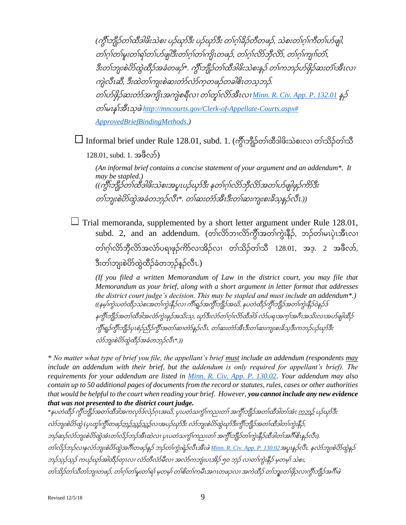*(*ကွီၢ်ဘျီၣ်တၢ်ထီဒါဖိးသဲစး ပၣ်ဃုာ်ဒီး ပၣ်ဃုာ်ဒီး တၢ်ဂ့ၢ်ခိၣ်တီတဖၣ်*,* သဲစးတၢ်ဂ့ၢ်ကီတၢ်ပာ်ဖျါ*,*  တၢ်ဂ့ၢ်တၢ်မူးတၢ်ရၢ်တၢ်ပာ်ဖျါဒီးတၢ်ဂ့ၢ်တၢ်ကျိၤတဖၣ်*,* တၢ်ဂ့ၢ်လိာ်ဘှီလိာ်*,* တၢ်ဂ့ၢ်ကျၢၢ်တံၢ်*,*  ဒီးတၢ်ဘျးစဲပိာ်ထွဲထီၣ်အခံတဖၣ်*\*.* ကွီၢ်ဘျီၣ်တၢ်ထီဒါဖိးသဲစးန့ၣ်တၢ်ကဘၣ်ပာ်ဖှိၣ်ဆးတံၢ်အီၤလၢ ကျဲလီၤဆီ*,* ဒီးထဲတၢ်ကျးစဲဆးတံာ်လံာ်က့တဖၣ်တခါဧိၤတသ့ဘၣ်*.*  တၢ်ပာ်ဖှိၣ်ဆးတံာ်အကျိၤအကျဲစရီလၢ တၢ်တူၢ်လိာ်အီၤလၢ *[Minn. R. Civ. App. P. 132.01](https://www.revisor.mn.gov/court_rules/ap/subtype/rcap/id/132/#132.01)* န့ၣ် တၢ်မၤန့ၢ်အီၤသ့ဖဲ*[http://mncourts.gov/Clerk-of-Appellate-Courts.aspx#](http://mncourts.gov/Clerk-of-Appellate-Courts.aspx# ApprovedBriefBindingMethods)  [ApprovedBriefBindingMethods.](http://mncourts.gov/Clerk-of-Appellate-Courts.aspx# ApprovedBriefBindingMethods))*

 $\Box$  Informal brief under Rule 128.01, subd. 1. (ကွိၢ်ဘျီဉ်တၢ်ထီဒါဖိးသဲစးလ၊ တၢ်သိဉ်တၢ်သီ

128.01, subd. 1. အဖီလာ်)

*(An informal brief contains a concise statement of your argument and an addendum\*. It may be stapled.) ((*ကွီၢ်ဘျီၣ်တၢ်ထီဒါဖိးသဲစးအပူၤပၣ်ဃုာ်ဒီး နတၢ်ဂ့ၢ်လိာ်ဘှီလိာ်အတၢ်ပာ်ဖျါဖုၣ်ကိာ်ဒီး တၢ်ဘျးစဲပိာ်ထွဲအခံတဘ့ၣ်လီၤ*\*.* တၢ်ဆးတံာ်အီၤဒီးတၢ်ဆးကျးစးခိသ့န့ၣ်လီၤ*.))*

 $\Box$  Trial memoranda, supplemented by a short letter argument under Rule 128.01, subd. 2, and an addendum. (တၢ်လိာ်ဘၢလိာ်ကွီၢ်အတၢ်ကွဲးနီၣ်, ဘၣ်တၢ်မၤပှဲၤအီၤလၢ တၢ်ဂ့ၢ်လိာ်ဘှီလိာ်အလံာ်ပရၢဖုၣ်ကိာ်လၢအိၣ်လၢ တၢ်သိၣ်တၢ်သီ 128.01, အဒ့. 2 အဖီလာ်, ဒီးတၢ်ဘျးစဲပိာ်ထွဲထီၣ်ခံတဘ့ၣ်န့ၣ်လီၤ.)

*(If you filed a written Memorandum of Law in the district court, you may file that Memorandum as your brief, along with a short argument in letter format that addresses the district court judge's decision. This may be stapled and must include an addendum\*.) ((*နမ့ၢ်ကွဲးပတံထီၣသဲစးအတၢ်ကွဲးနီၣ်လၢ ကီၢ်ရ့ၣ်အကွီၢ်ဘျီၣ်အဃိ*,* နပတံထီၣ်ကွီၢ်ဘျီၣ်အတၢ်ကွဲးနီၣ်၀ဲန့ၣ်ဒ် နကွီၢ်ဘျီၣ်အတၢ်ထီဒါအလံာ်ကွဲးဖုၣ်အသိးသ့*,* ဃုာ်ဒီးလံာ်တၢ်ဂ့ၢ်လိာ်ထီဒါဒ်လံာ်ပရၢအက့ၢ်အဂီၤအသိးလၢအပာ်ဖျါထီၣ် ကွီၢ်ရ့ၣ်ကွီၢ်ဘျီၣ်ပှၤစံၣ်ညီၣ်ကွီၢ်အတၢ်ဆၢတဲာ်န့ၣ်လီၤ*.* တၢ်ဆးတံာ်အီၤဒီးတၢ်ဆးကျးစးခိသ့ဒီးကဘၣ်ပၣ်ဃုာ်ဒီး လံာ်ဘျးစဲပိာ်ထွဲထီၣ်အခံတဘ့ၣ်လီၤ*\*.))*

*\* No matter what type of brief you file, the appellant's brief must include an addendum (respondents may include an addendum with their brief, but the addendum is only required for appellant's brief). The requirements for your addendum are listed in [Minn. R. Civ. App. P. 130.02.](https://www.revisor.mn.gov/court_rules/ap/subtype/rcap/id/130/#130.02) Your addendum may also contain up to 50 additional pages of documents from the record or statutes, rules, cases or other authorities that would be helpful to the court when reading your brief. However, you cannot include any new evidence that was not presented to the district court judge.*

*\**နပတံထီၣ်ကွီၢ်ဘျီၣ်အတၢ်ထီဒါအကလုာ်ဒ်လဲၣ်ဂ့ၤအဃိ*,* ပှၤပတံသကွံၢ်ကညးတၢ်အကွီၢ်ဘျီၣ်အတၢ်ထီဒါတၢ်အံၤ ကဘၣ်ပၣ်ဃုာ်ဒီး လာ်ဘျးစဲပိာ်ထွဲ (ပုၤတုၢ်ကွီၢ်တဖ<u>ဉ်ဘဉ်သည်သ</u>ည်လၢအပဉ်ယှာ်ဒီး လာ်ဘျးစဲပိာ်ထွဲယှာ်ဒီးကွီၢ်ဘျီဉ်အတၢ်ထီဒါတၢ်ကွဲးနီဉ်, ဘၣ်ဆၣ်လံာ်ဘျးစဲပိာ်ထွဲအံၤတၢ်လိၣ်ဘၣ်အီၤထဲလၢ ပှၤပတံသကွံၢ်ကညးတၢ်အကွီၢ်ဘျီၣ်တၢ်ကွဲးနီၣ်ထီဒါတၢ်အဂီၢ်ဧိၤန့ၣ်လီၤ*).*  တၢ်လိၣ်ဘၣ်လၢနလံာ်ဘျးစဲပိာ်ထွဲအဂီၢ်တဖၣ်န့ၣ်ဘၣ်တၢ်ကွဲးရဲၣ်လီၤအီၤဖဲ*[Minn. R. Civ. App. P. 130.02](https://www.revisor.mn.gov/court_rules/ap/subtype/rcap/id/130/#130.02)*အပူၤန့ၣ်လီၤ*.* နလံာ်ဘျးစဲပိာ်ထွဲန့ၣ် ဘၣ်သ့ၣ်သ့ၣ်ကပၣ်ဃုာ်အါထီၣ်တုၤလၢ လံာ်တီလံာ်မီလၢ အလံာ်ကဘျံးပၤအိၣ်၅၀ ဘ့ၣ်လၢတၢ်ကွဲးနီၣ်မ့တမ့ၢ်သဲစး*,*  တၢ်သိၣ်တၢ်သီတၢ်ဘျၢတဖၣ်*,* တၢ်ဂ့ၢ်တၢ်မူးတၢ်ရၢ်မ့တမ့ၢ်တၢ်စိတၢ်ကမီၤအဂၤတဖၣလၢ အကဲထီၣ်တၢ်ဘျူးတၢ်ဖှိၣလၢကွီၢ်ဘျီၣ်အဂီၢ်ဖဲ